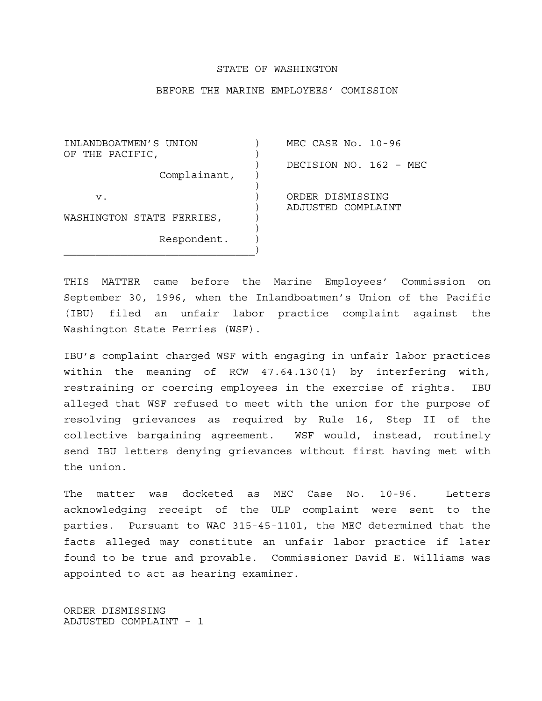## STATE OF WASHINGTON

## BEFORE THE MARINE EMPLOYEES' COMISSION

INLANDBOATMEN'S UNION ) MEC CASE No. 10-96 OF THE PACIFIC, ) DECISION NO. 162 – MEC Complainant, )  $\overline{\phantom{a}}$  v. ) ORDER DISMISSING ) ADJUSTED COMPLAINT WASHINGTON STATE FERRIES,  $)$  Respondent. )  $\overline{\phantom{a}}$ 

THIS MATTER came before the Marine Employees' Commission on September 30, 1996, when the Inlandboatmen's Union of the Pacific (IBU) filed an unfair labor practice complaint against the Washington State Ferries (WSF).

IBU's complaint charged WSF with engaging in unfair labor practices within the meaning of RCW 47.64.130(1) by interfering with, restraining or coercing employees in the exercise of rights. IBU alleged that WSF refused to meet with the union for the purpose of resolving grievances as required by Rule 16, Step II of the collective bargaining agreement. WSF would, instead, routinely send IBU letters denying grievances without first having met with the union.

The matter was docketed as MEC Case No. 10-96. Letters acknowledging receipt of the ULP complaint were sent to the parties. Pursuant to WAC 315-45-110l, the MEC determined that the facts alleged may constitute an unfair labor practice if later found to be true and provable. Commissioner David E. Williams was appointed to act as hearing examiner.

ORDER DISMISSING ADJUSTED COMPLAINT – 1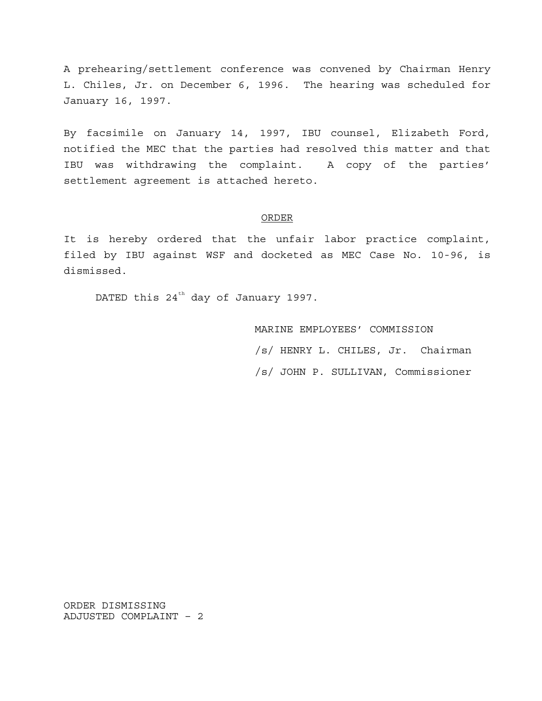A prehearing/settlement conference was convened by Chairman Henry L. Chiles, Jr. on December 6, 1996. The hearing was scheduled for January 16, 1997.

By facsimile on January 14, 1997, IBU counsel, Elizabeth Ford, notified the MEC that the parties had resolved this matter and that IBU was withdrawing the complaint. A copy of the parties' settlement agreement is attached hereto.

## ORDER

It is hereby ordered that the unfair labor practice complaint, filed by IBU against WSF and docketed as MEC Case No. 10-96, is dismissed.

DATED this  $24^{th}$  day of January 1997.

 MARINE EMPLOYEES' COMMISSION /s/ HENRY L. CHILES, Jr. Chairman /s/ JOHN P. SULLIVAN, Commissioner

ORDER DISMISSING ADJUSTED COMPLAINT – 2